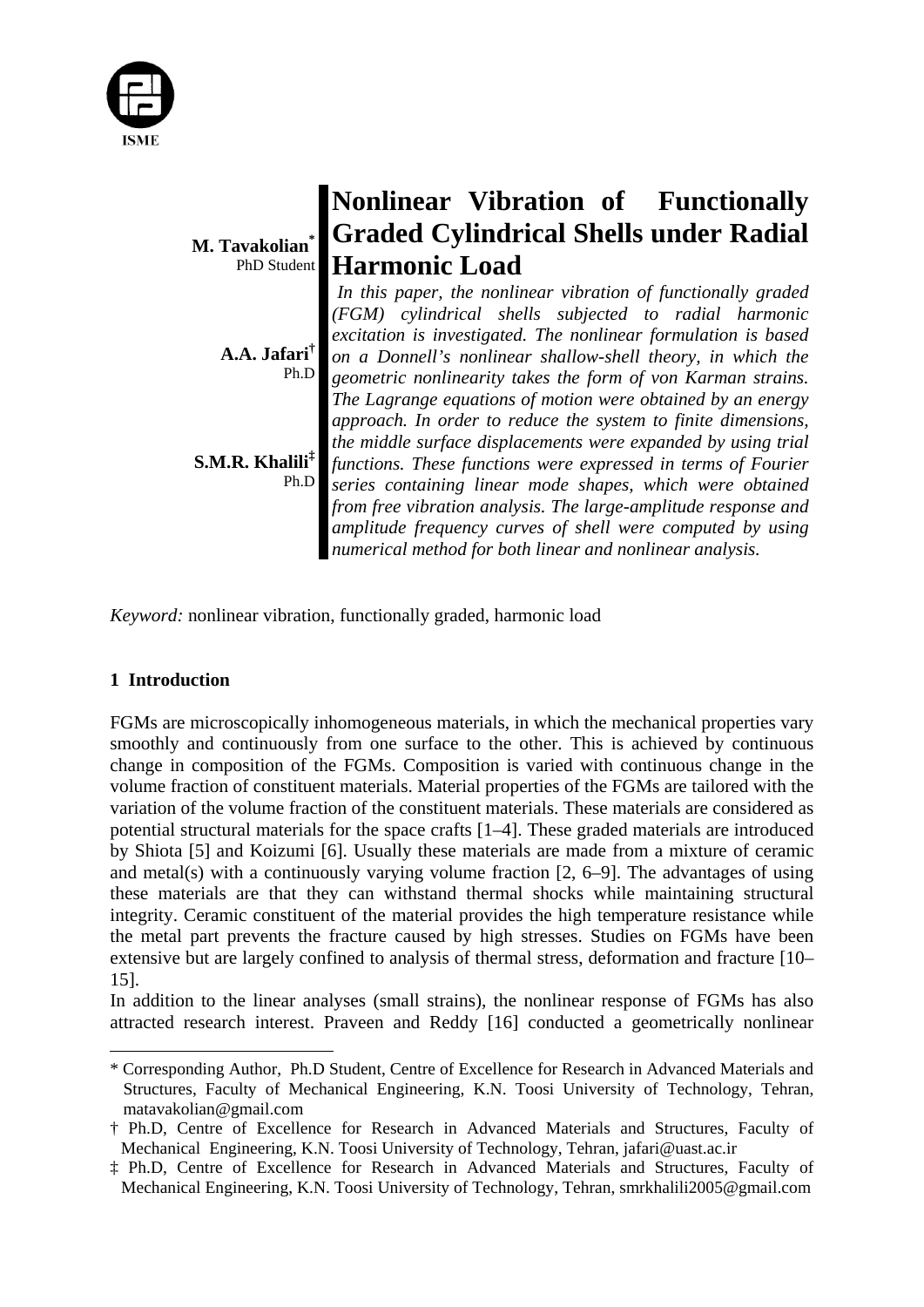

|                                                | Nonlinear Vibration of Functionally                            |
|------------------------------------------------|----------------------------------------------------------------|
| M. Tavakolian                                  | <b>Graded Cylindrical Shells under Radial</b>                  |
| PhD Student                                    | <b>Harmonic Load</b>                                           |
|                                                | In this paper, the nonlinear vibration of functionally graded  |
|                                                | (FGM) cylindrical shells subjected to radial harmonic          |
|                                                | excitation is investigated. The nonlinear formulation is based |
| $A.A.$ Jafari <sup><math>\bar{\ }</math></sup> | on a Donnell's nonlinear shallow-shell theory, in which the    |
| Ph.D                                           | geometric nonlinearity takes the form of von Karman strains.   |
|                                                | The Lagrange equations of motion were obtained by an energy    |
|                                                | approach. In order to reduce the system to finite dimensions,  |
|                                                | the middle surface displacements were expanded by using trial  |
| S.M.R. Khalili <sup>‡</sup>                    | functions. These functions were expressed in terms of Fourier  |
| Ph.D                                           | series containing linear mode shapes, which were obtained      |
|                                                | from free vibration analysis. The large-amplitude response and |
|                                                | amplitude frequency curves of shell were computed by using     |
|                                                | numerical method for both linear and nonlinear analysis.       |

*Keyword:* nonlinear vibration, functionally graded, harmonic load

# **1 Introduction**

FGMs are microscopically inhomogeneous materials, in which the mechanical properties vary smoothly and continuously from one surface to the other. This is achieved by continuous change in composition of the FGMs. Composition is varied with continuous change in the volume fraction of constituent materials. Material properties of the FGMs are tailored with the variation of the volume fraction of the constituent materials. These materials are considered as potential structural materials for the space crafts [1–4]. These graded materials are introduced by Shiota [5] and Koizumi [6]. Usually these materials are made from a mixture of ceramic and metal(s) with a continuously varying volume fraction  $[2, 6-9]$ . The advantages of using these materials are that they can withstand thermal shocks while maintaining structural integrity. Ceramic constituent of the material provides the high temperature resistance while the metal part prevents the fracture caused by high stresses. Studies on FGMs have been extensive but are largely confined to analysis of thermal stress, deformation and fracture [10– 15].

In addition to the linear analyses (small strains), the nonlinear response of FGMs has also attracted research interest. Praveen and Reddy [16] conducted a geometrically nonlinear

<sup>\*</sup> Corresponding Author, Ph.D Student, Centre of Excellence for Research in Advanced Materials and Structures, Faculty of Mechanical Engineering, K.N. Toosi University of Technology, Tehran, matavakolian@gmail.com

<sup>†</sup> Ph.D, Centre of Excellence for Research in Advanced Materials and Structures, Faculty of Mechanical Engineering, K.N. Toosi University of Technology, Tehran, jafari@uast.ac.ir

<sup>‡</sup> Ph.D, Centre of Excellence for Research in Advanced Materials and Structures, Faculty of Mechanical Engineering, K.N. Toosi University of Technology, Tehran, smrkhalili2005@gmail.com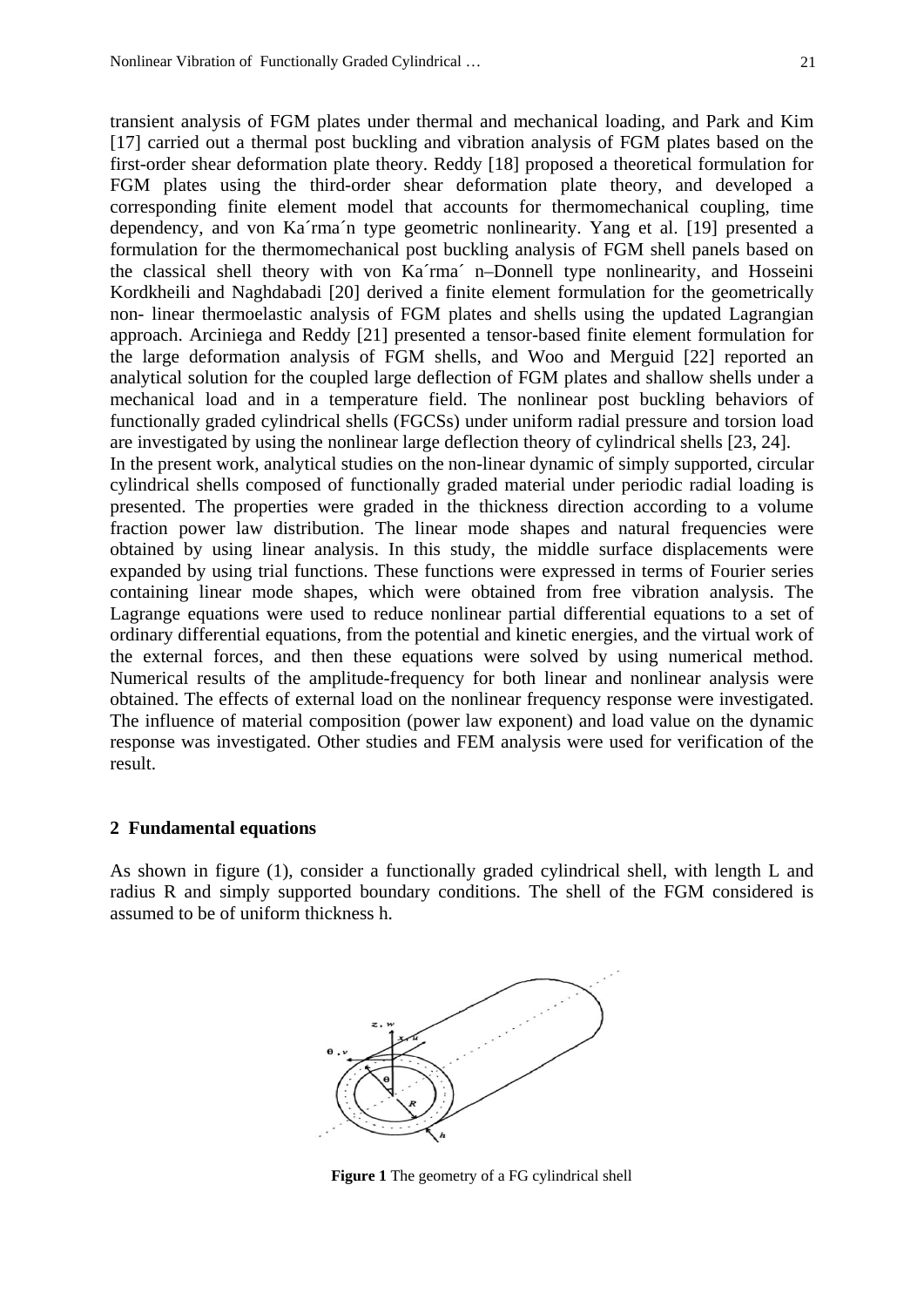transient analysis of FGM plates under thermal and mechanical loading, and Park and Kim [17] carried out a thermal post buckling and vibration analysis of FGM plates based on the first-order shear deformation plate theory. Reddy [18] proposed a theoretical formulation for FGM plates using the third-order shear deformation plate theory, and developed a corresponding finite element model that accounts for thermomechanical coupling, time dependency, and von Ka´rma´n type geometric nonlinearity. Yang et al. [19] presented a formulation for the thermomechanical post buckling analysis of FGM shell panels based on the classical shell theory with von Ka´rma´ n–Donnell type nonlinearity, and Hosseini Kordkheili and Naghdabadi [20] derived a finite element formulation for the geometrically non- linear thermoelastic analysis of FGM plates and shells using the updated Lagrangian approach. Arciniega and Reddy [21] presented a tensor-based finite element formulation for the large deformation analysis of FGM shells, and Woo and Merguid [22] reported an analytical solution for the coupled large deflection of FGM plates and shallow shells under a mechanical load and in a temperature field. The nonlinear post buckling behaviors of functionally graded cylindrical shells (FGCSs) under uniform radial pressure and torsion load are investigated by using the nonlinear large deflection theory of cylindrical shells [23, 24]. In the present work, analytical studies on the non-linear dynamic of simply supported, circular cylindrical shells composed of functionally graded material under periodic radial loading is presented. The properties were graded in the thickness direction according to a volume fraction power law distribution. The linear mode shapes and natural frequencies were obtained by using linear analysis. In this study, the middle surface displacements were expanded by using trial functions. These functions were expressed in terms of Fourier series containing linear mode shapes, which were obtained from free vibration analysis. The Lagrange equations were used to reduce nonlinear partial differential equations to a set of ordinary differential equations, from the potential and kinetic energies, and the virtual work of the external forces, and then these equations were solved by using numerical method. Numerical results of the amplitude-frequency for both linear and nonlinear analysis were obtained. The effects of external load on the nonlinear frequency response were investigated. The influence of material composition (power law exponent) and load value on the dynamic response was investigated. Other studies and FEM analysis were used for verification of the result.

## **2 Fundamental equations**

As shown in figure (1), consider a functionally graded cylindrical shell, with length L and radius R and simply supported boundary conditions. The shell of the FGM considered is assumed to be of uniform thickness h.



 **Figure 1** The geometry of a FG cylindrical shell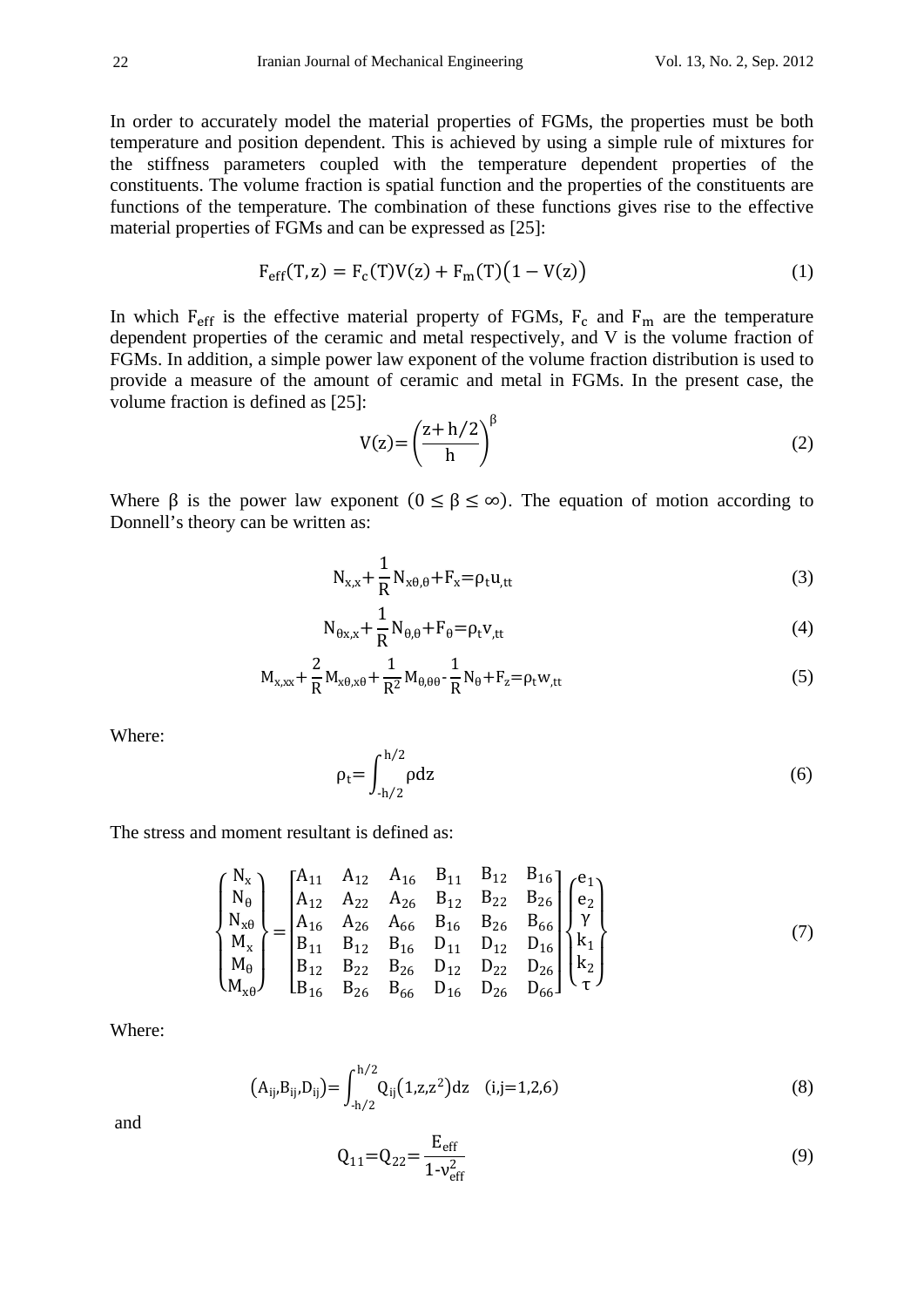In order to accurately model the material properties of FGMs, the properties must be both temperature and position dependent. This is achieved by using a simple rule of mixtures for the stiffness parameters coupled with the temperature dependent properties of the constituents. The volume fraction is spatial function and the properties of the constituents are functions of the temperature. The combination of these functions gives rise to the effective material properties of FGMs and can be expressed as [25]:

$$
F_{\rm eff}(T, z) = F_c(T)V(z) + F_m(T)(1 - V(z))
$$
\n(1)

In which  $F_{\text{eff}}$  is the effective material property of FGMs,  $F_c$  and  $F_m$  are the temperature dependent properties of the ceramic and metal respectively, and V is the volume fraction of FGMs. In addition, a simple power law exponent of the volume fraction distribution is used to provide a measure of the amount of ceramic and metal in FGMs. In the present case, the volume fraction is defined as [25]:

$$
V(z) = \left(\frac{z + h/2}{h}\right)^{\beta} \tag{2}
$$

Where  $\beta$  is the power law exponent  $(0 \leq \beta \leq \infty)$ . The equation of motion according to Donnell's theory can be written as:

$$
N_{x,x} + \frac{1}{R} N_{x\theta,\theta} + F_x = \rho_t u_{,tt}
$$
 (3)

$$
N_{\theta x,x} + \frac{1}{R} N_{\theta,\theta} + F_{\theta} = \rho_t v_{,tt}
$$
\n<sup>(4)</sup>

$$
M_{x,xx} + \frac{2}{R} M_{x\theta,x\theta} + \frac{1}{R^2} M_{\theta,\theta\theta} - \frac{1}{R} N_{\theta} + F_z = \rho_t w_{,tt}
$$
 (5)

Where:

$$
\rho_t = \int_{-h/2}^{h/2} \rho dz
$$
\n(6)

The stress and moment resultant is defined as:

$$
\begin{Bmatrix}\nN_x \\
N_\theta \\
N_{x\theta} \\
N_x \\
M_x \\
M_\theta \\
M_{x\theta}\n\end{Bmatrix} =\n\begin{bmatrix}\nA_{11} & A_{12} & A_{16} & B_{11} & B_{12} & B_{16} \\
A_{12} & A_{22} & A_{26} & B_{12} & B_{22} & B_{26} \\
A_{16} & A_{26} & A_{66} & B_{16} & B_{26} & B_{66} \\
B_{11} & B_{12} & B_{16} & D_{11} & D_{12} & D_{16} \\
B_{12} & B_{22} & B_{26} & D_{12} & D_{22} & D_{26} \\
B_{16} & B_{26} & B_{66} & D_{16} & D_{26} & D_{66}\n\end{bmatrix}\n\begin{Bmatrix}\ne_1 \\
e_2 \\
\gamma \\
k_1 \\
k_2 \\
t_3\n\end{Bmatrix}
$$
\n(7)

Where:

$$
(A_{ij}, B_{ij}, D_{ij}) = \int_{-h/2}^{h/2} Q_{ij} (1, z, z^2) dz \quad (i, j = 1, 2, 6)
$$
 (8)

and

$$
Q_{11} = Q_{22} = \frac{E_{eff}}{1 - v_{eff}^2}
$$
 (9)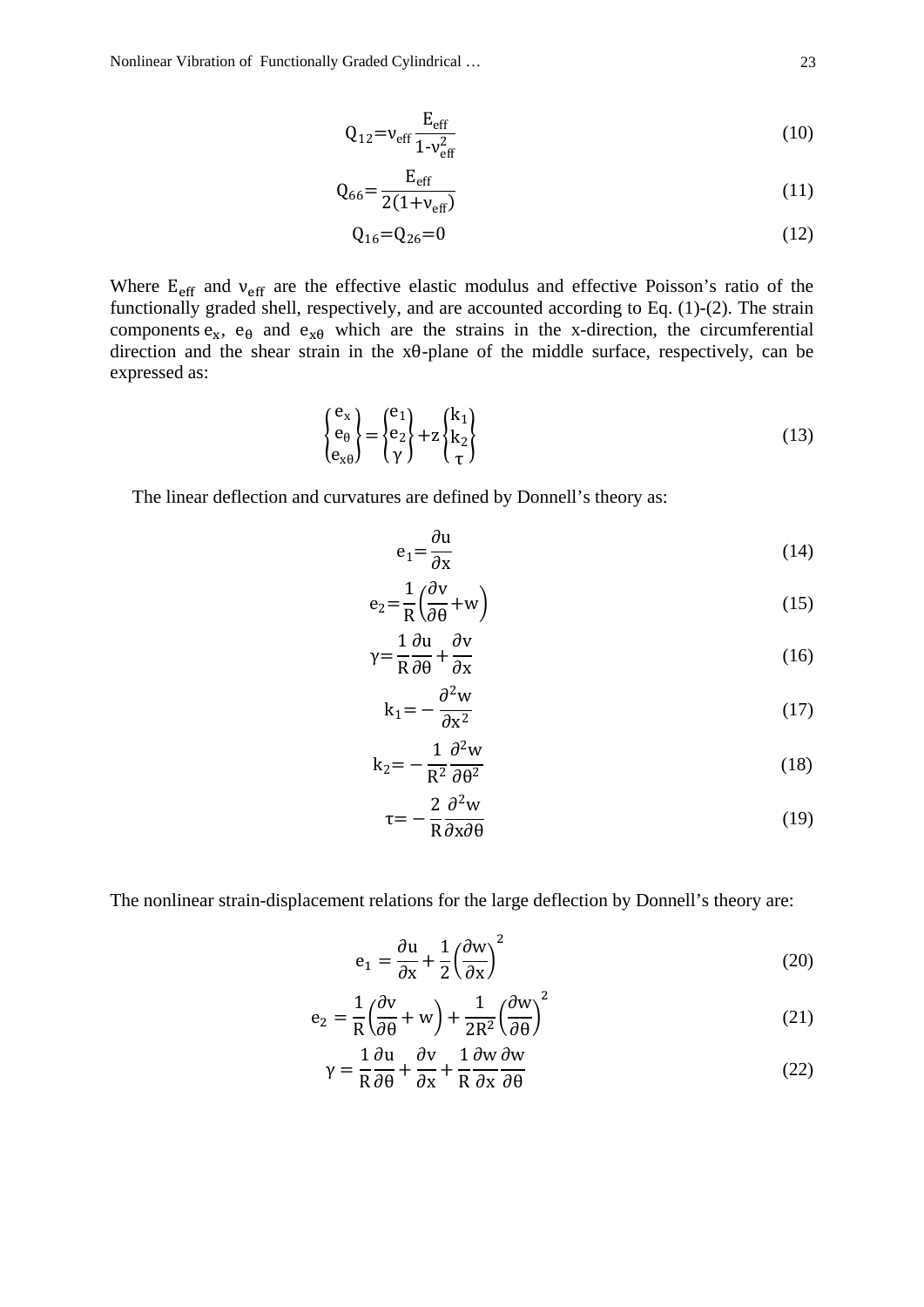$$
Q_{12} = v_{eff} \frac{E_{eff}}{1 - v_{eff}^2}
$$
 (10)

$$
Q_{66} = \frac{E_{eff}}{2(1 + v_{eff})}
$$
 (11)

$$
Q_{16} = Q_{26} = 0 \tag{12}
$$

Where  $E_{\text{eff}}$  and  $v_{\text{eff}}$  are the effective elastic modulus and effective Poisson's ratio of the functionally graded shell, respectively, and are accounted according to Eq. (1)-(2). The strain components  $e_x$ ,  $e_\theta$  and  $e_{x\theta}$  which are the strains in the x-direction, the circumferential direction and the shear strain in the xθ-plane of the middle surface, respectively, can be expressed as:

$$
\begin{Bmatrix} e_x \\ e_\theta \\ e_{x\theta} \end{Bmatrix} = \begin{Bmatrix} e_1 \\ e_2 \\ \gamma \end{Bmatrix} + z \begin{Bmatrix} k_1 \\ k_2 \\ \tau \end{Bmatrix}
$$
 (13)

The linear deflection and curvatures are defined by Donnell's theory as:

$$
e_1 = \frac{\partial u}{\partial x} \tag{14}
$$

$$
e_2 = \frac{1}{R} \left( \frac{\partial v}{\partial \theta} + w \right)
$$
 (15)

$$
\gamma = \frac{1}{R} \frac{\partial u}{\partial \theta} + \frac{\partial v}{\partial x} \tag{16}
$$

$$
k_1 = -\frac{\partial^2 w}{\partial x^2} \tag{17}
$$

$$
k_2 = -\frac{1}{R^2} \frac{\partial^2 w}{\partial \theta^2}
$$
 (18)

$$
\tau = -\frac{2}{R} \frac{\partial^2 w}{\partial x \partial \theta} \tag{19}
$$

The nonlinear strain-displacement relations for the large deflection by Donnell's theory are:

$$
e_1 = \frac{\partial u}{\partial x} + \frac{1}{2} \left(\frac{\partial w}{\partial x}\right)^2
$$
 (20)

$$
e_2 = \frac{1}{R} \left( \frac{\partial v}{\partial \theta} + w \right) + \frac{1}{2R^2} \left( \frac{\partial w}{\partial \theta} \right)^2 \tag{21}
$$

$$
\gamma = \frac{1}{R}\frac{\partial u}{\partial \theta} + \frac{\partial v}{\partial x} + \frac{1}{R}\frac{\partial w}{\partial x}\frac{\partial w}{\partial \theta}
$$
(22)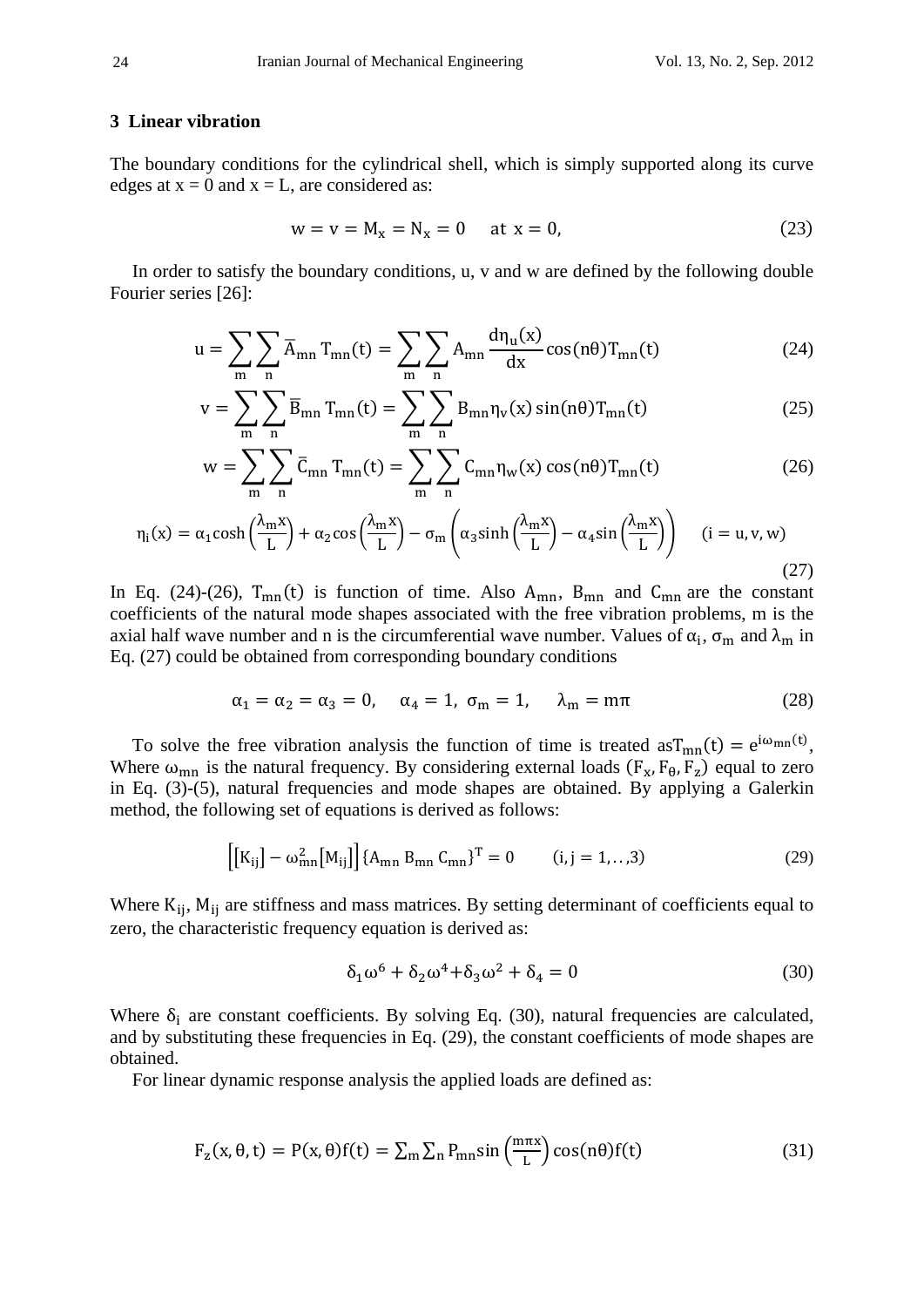#### **3 Linear vibration**

The boundary conditions for the cylindrical shell, which is simply supported along its curve edges at  $x = 0$  and  $x = L$ , are considered as:

$$
w = v = M_x = N_x = 0 \quad \text{at } x = 0,
$$
 (23)

In order to satisfy the boundary conditions, u, v and w are defined by the following double Fourier series [26]:

$$
u = \sum_{m} \sum_{n} \overline{A}_{mn} T_{mn}(t) = \sum_{m} \sum_{n} A_{mn} \frac{d\eta_u(x)}{dx} \cos(n\theta) T_{mn}(t)
$$
(24)

$$
v = \sum_{m} \sum_{n} \overline{B}_{mn} T_{mn}(t) = \sum_{m} \sum_{n} B_{mn} \eta_{v}(x) \sin(n\theta) T_{mn}(t)
$$
 (25)

$$
w = \sum_{m} \sum_{n} \bar{C}_{mn} T_{mn}(t) = \sum_{m} \sum_{n} C_{mn} \eta_w(x) \cos(n\theta) T_{mn}(t)
$$
 (26)

$$
\eta_{i}(x) = \alpha_{1} \cosh\left(\frac{\lambda_{m} x}{L}\right) + \alpha_{2} \cos\left(\frac{\lambda_{m} x}{L}\right) - \sigma_{m}\left(\alpha_{3} \sinh\left(\frac{\lambda_{m} x}{L}\right) - \alpha_{4} \sin\left(\frac{\lambda_{m} x}{L}\right)\right) \quad (i = u, v, w)
$$
\n(27)

In Eq. (24)-(26),  $T_{mn}(t)$  is function of time. Also  $A_{mn}$ ,  $B_{mn}$  and  $C_{mn}$  are the constant coefficients of the natural mode shapes associated with the free vibration problems, m is the axial half wave number and n is the circumferential wave number. Values of  $\alpha_i$ ,  $\sigma_m$  and  $\lambda_m$  in Eq. (27) could be obtained from corresponding boundary conditions

$$
\alpha_1 = \alpha_2 = \alpha_3 = 0, \quad \alpha_4 = 1, \quad \sigma_m = 1, \quad \lambda_m = m\pi \tag{28}
$$

To solve the free vibration analysis the function of time is treated  $\text{asT}_{mn}(t) = e^{i\omega_{mn}(t)}$ , Where  $\omega_{mn}$  is the natural frequency. By considering external loads  $(F_x, F_\theta, F_z)$  equal to zero in Eq. (3)-(5), natural frequencies and mode shapes are obtained. By applying a Galerkin method, the following set of equations is derived as follows:

$$
\left[ [K_{ij}] - \omega_{mn}^2 [M_{ij}] \right] \{ A_{mn} B_{mn} C_{mn} \}^T = 0 \qquad (i, j = 1,..,3) \tag{29}
$$

Where  $K_{ij}$ ,  $M_{ij}$  are stiffness and mass matrices. By setting determinant of coefficients equal to zero, the characteristic frequency equation is derived as:

$$
\delta_1 \omega^6 + \delta_2 \omega^4 + \delta_3 \omega^2 + \delta_4 = 0 \tag{30}
$$

Where  $\delta_i$  are constant coefficients. By solving Eq. (30), natural frequencies are calculated, and by substituting these frequencies in Eq. (29), the constant coefficients of mode shapes are obtained.

For linear dynamic response analysis the applied loads are defined as:

$$
F_z(x, \theta, t) = P(x, \theta) f(t) = \sum_m \sum_n P_{mn} \sin\left(\frac{m\pi x}{L}\right) \cos(n\theta) f(t)
$$
(31)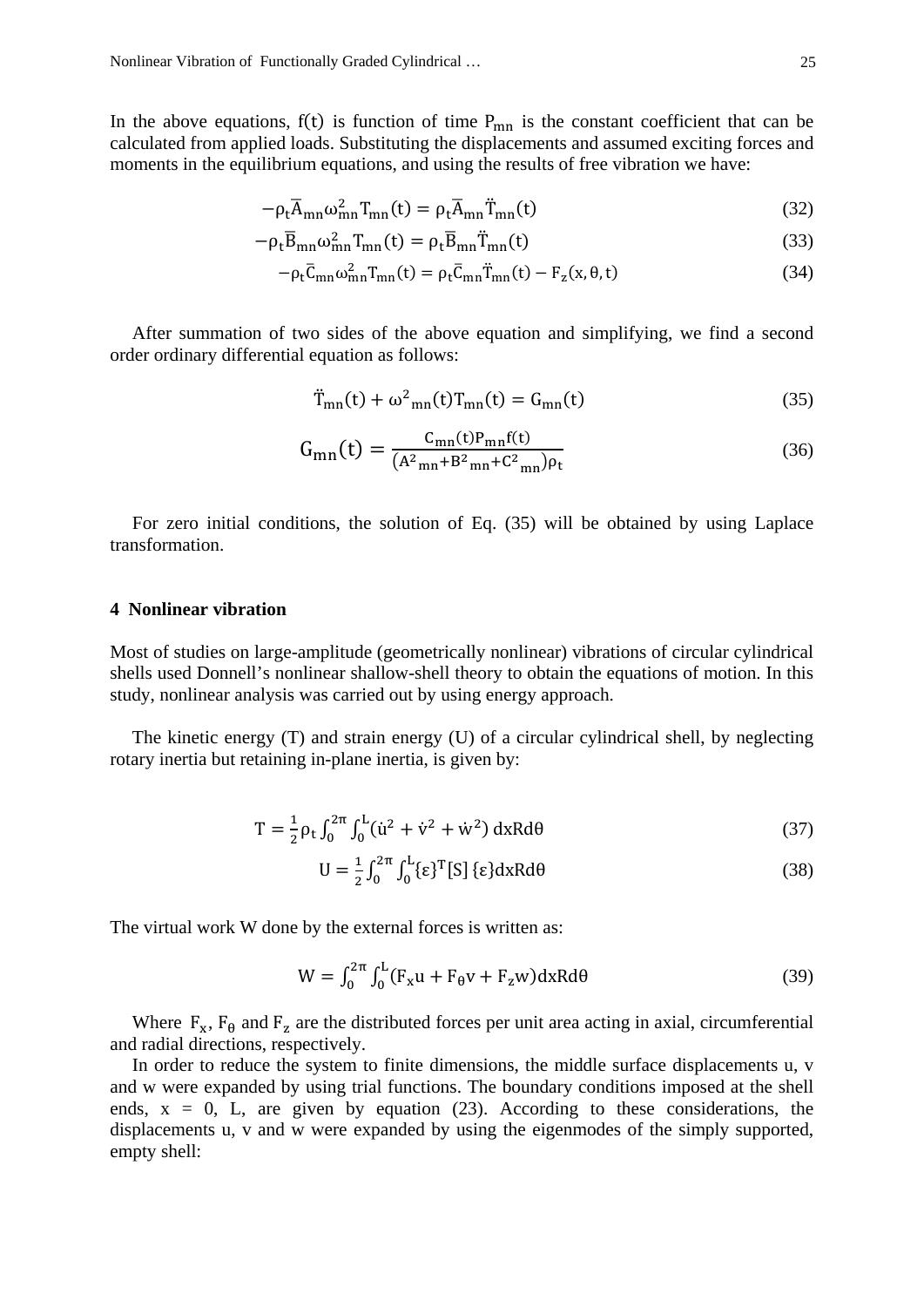In the above equations,  $f(t)$  is function of time  $P_{mn}$  is the constant coefficient that can be calculated from applied loads. Substituting the displacements and assumed exciting forces and moments in the equilibrium equations, and using the results of free vibration we have:

$$
-\rho_{t}\overline{A}_{mn}\omega_{mn}^{2}T_{mn}(t) = \rho_{t}\overline{A}_{mn}\ddot{T}_{mn}(t)
$$
\n(32)

$$
-\rho_{t}\overline{B}_{mn}\omega_{mn}^{2}T_{mn}(t) = \rho_{t}\overline{B}_{mn}\ddot{T}_{mn}(t)
$$
\n(33)

$$
-\rho_t \bar{C}_{mn}\omega_{mn}^2 T_{mn}(t) = \rho_t \bar{C}_{mn}\ddot{T}_{mn}(t) - F_z(x, \theta, t)
$$
\n(34)

After summation of two sides of the above equation and simplifying, we find a second order ordinary differential equation as follows:

$$
\ddot{T}_{mn}(t) + \omega^2{}_{mn}(t)T_{mn}(t) = G_{mn}(t)
$$
\n(35)

$$
G_{mn}(t) = \frac{C_{mn}(t)P_{mn}f(t)}{(A^2_{mn} + B^2_{mn} + C^2_{mn})\rho_t}
$$
(36)

For zero initial conditions, the solution of Eq. (35) will be obtained by using Laplace transformation.

## **4 Nonlinear vibration**

Most of studies on large-amplitude (geometrically nonlinear) vibrations of circular cylindrical shells used Donnell's nonlinear shallow-shell theory to obtain the equations of motion. In this study, nonlinear analysis was carried out by using energy approach.

The kinetic energy (T) and strain energy (U) of a circular cylindrical shell, by neglecting rotary inertia but retaining in-plane inertia, is given by:

$$
T = \frac{1}{2} \rho_t \int_0^{2\pi} \int_0^L (\dot{u}^2 + \dot{v}^2 + \dot{w}^2) d\mathbf{x} R d\theta
$$
 (37)

$$
U = \frac{1}{2} \int_0^{2\pi} \int_0^L {\{\epsilon\}}^T [S] {\{\epsilon\}} dx R d\theta
$$
 (38)

The virtual work W done by the external forces is written as:

$$
W = \int_0^{2\pi} \int_0^L (F_x u + F_\theta v + F_z w) dx R d\theta \tag{39}
$$

Where  $F_x$ ,  $F_\theta$  and  $F_z$  are the distributed forces per unit area acting in axial, circumferential and radial directions, respectively.

In order to reduce the system to finite dimensions, the middle surface displacements u, v and w were expanded by using trial functions. The boundary conditions imposed at the shell ends,  $x = 0$ , L, are given by equation (23). According to these considerations, the displacements u, v and w were expanded by using the eigenmodes of the simply supported, empty shell: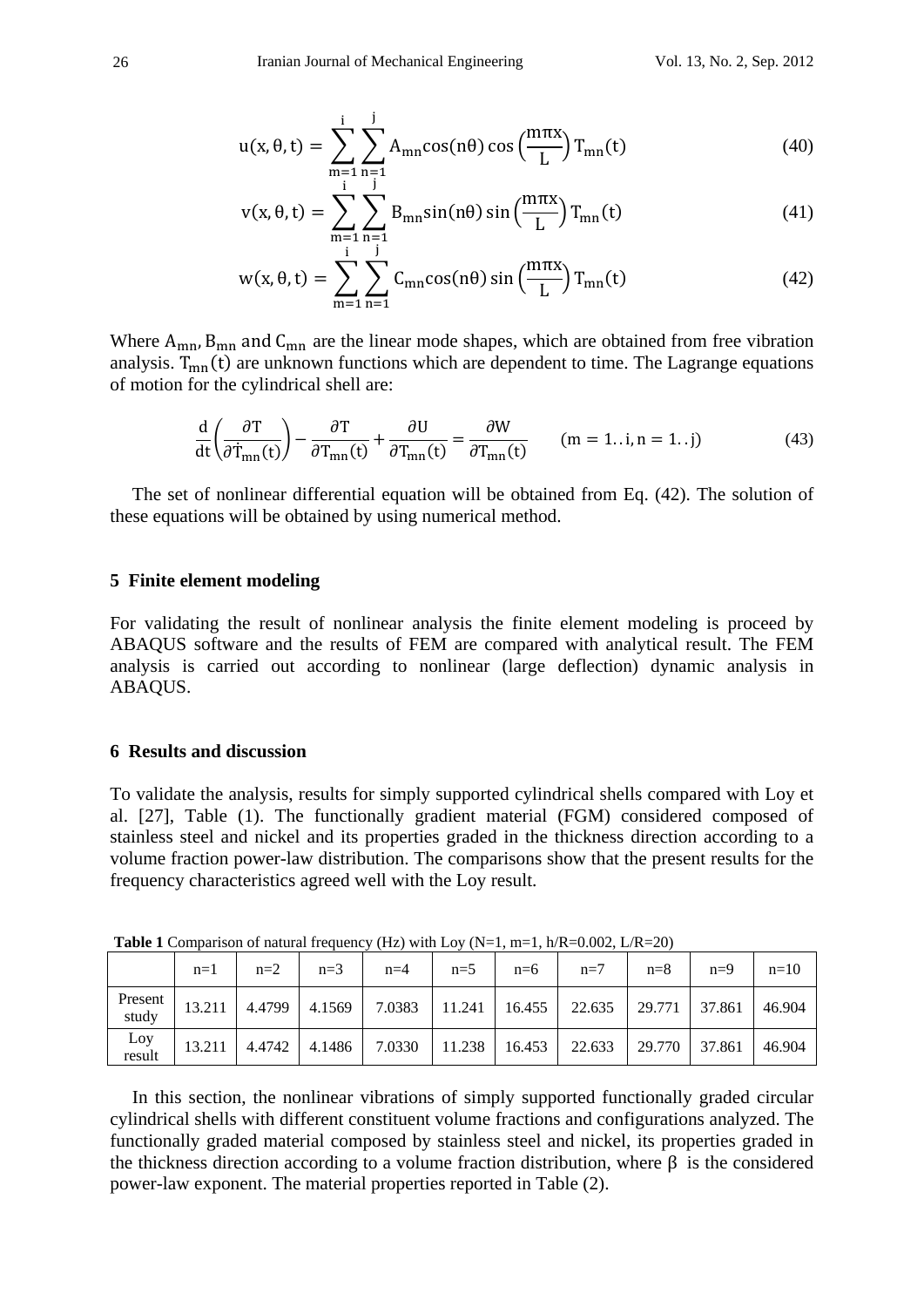$$
u(x, \theta, t) = \sum_{\substack{m=1 \ n=1}}^{i} \sum_{\substack{n=1 \ n \text{ odd}}}^{j} A_{mn} \cos(n\theta) \cos\left(\frac{m\pi x}{L}\right) T_{mn}(t)
$$
(40)

$$
v(x, \theta, t) = \sum_{m=1}^{i} \sum_{n=1}^{j} B_{mn} \sin(n\theta) \sin\left(\frac{m\pi x}{L}\right) T_{mn}(t)
$$
(41)

$$
w(x, \theta, t) = \sum_{m=1}^{i} \sum_{n=1}^{j} C_{mn} \cos(n\theta) \sin\left(\frac{m\pi x}{L}\right) T_{mn}(t)
$$
(42)

Where  $A_{mn}$ ,  $B_{mn}$  and  $C_{mn}$  are the linear mode shapes, which are obtained from free vibration analysis.  $T_{mn}(t)$  are unknown functions which are dependent to time. The Lagrange equations of motion for the cylindrical shell are:

$$
\frac{d}{dt} \left( \frac{\partial T}{\partial \dot{T}_{mn}(t)} \right) - \frac{\partial T}{\partial T_{mn}(t)} + \frac{\partial U}{\partial T_{mn}(t)} = \frac{\partial W}{\partial T_{mn}(t)} \qquad (m = 1..i, n = 1..j)
$$
\n(43)

The set of nonlinear differential equation will be obtained from Eq. (42). The solution of these equations will be obtained by using numerical method.

#### **5 Finite element modeling**

For validating the result of nonlinear analysis the finite element modeling is proceed by ABAQUS software and the results of FEM are compared with analytical result. The FEM analysis is carried out according to nonlinear (large deflection) dynamic analysis in ABAQUS.

### **6 Results and discussion**

To validate the analysis, results for simply supported cylindrical shells compared with Loy et al. [27], Table (1). The functionally gradient material (FGM) considered composed of stainless steel and nickel and its properties graded in the thickness direction according to a volume fraction power-law distribution. The comparisons show that the present results for the frequency characteristics agreed well with the Loy result.

|                  | $n=1$  | $n=2$  | $n=3$  | $n=4$  | $n=5$  | $n=6$           | $n=7$  | $n=8$  | $n=9$  | $n=10$ |  |
|------------------|--------|--------|--------|--------|--------|-----------------|--------|--------|--------|--------|--|
| Present<br>study | 13.211 | 4.4799 | 4.1569 | 7.0383 |        | $11.241$ 16.455 | 22.635 | 29.771 | 37.861 | 46.904 |  |
| Loy<br>result    | 13.211 | 4.4742 | 4.1486 | 7.0330 | 11.238 | 16.453          | 22.633 | 29.770 | 37.861 | 46.904 |  |

**Table 1** Comparison of natural frequency (Hz) with Loy (N=1, m=1,  $h/R = 0.002$ ,  $L/R = 20$ )

In this section, the nonlinear vibrations of simply supported functionally graded circular cylindrical shells with different constituent volume fractions and configurations analyzed. The functionally graded material composed by stainless steel and nickel, its properties graded in the thickness direction according to a volume fraction distribution, where  $\beta$  is the considered power-law exponent. The material properties reported in Table (2).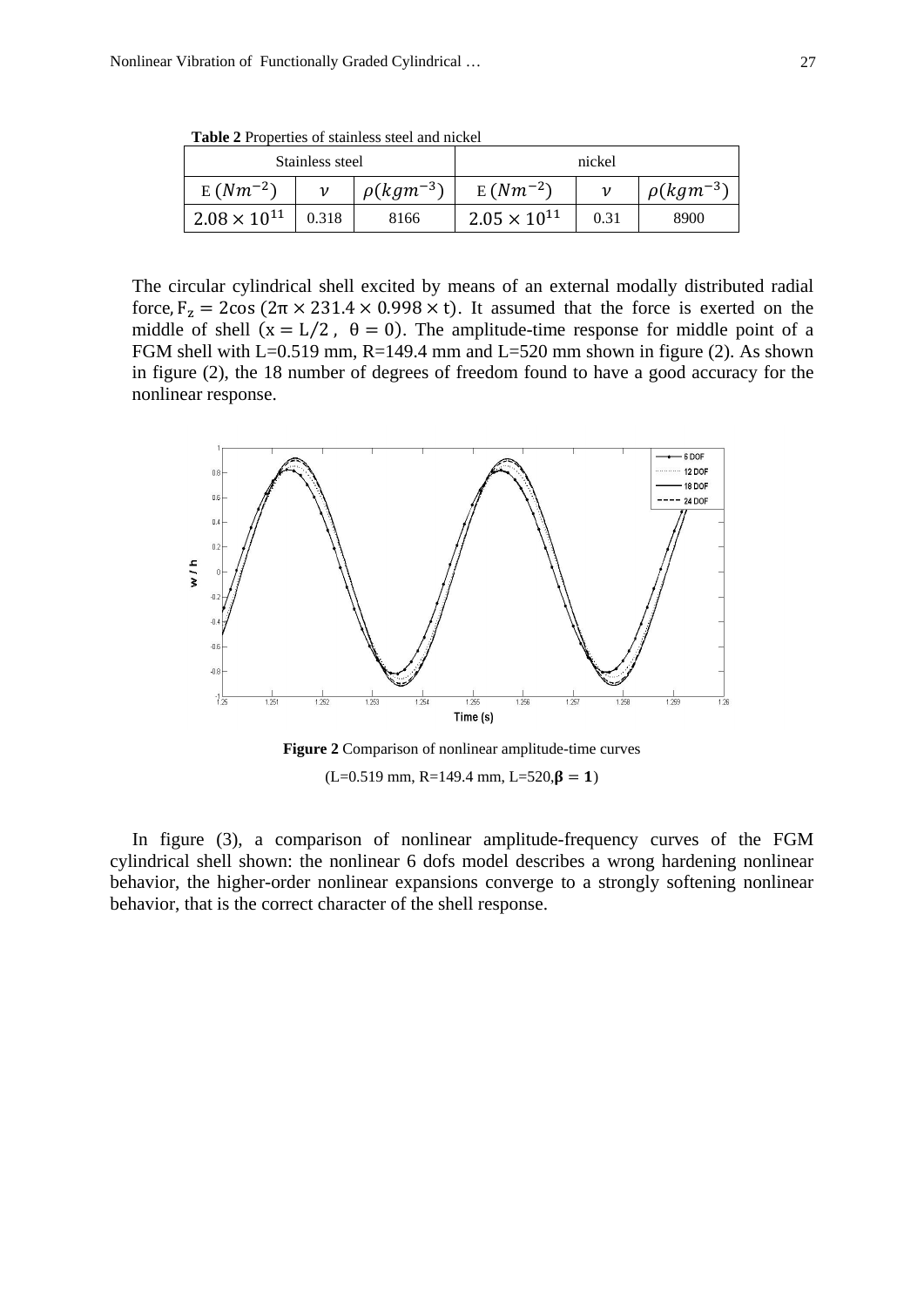**Table 2** Properties of stainless steel and nickel

|                       | Stainless steel |                  | nickel                |      |                  |  |
|-----------------------|-----------------|------------------|-----------------------|------|------------------|--|
| $E(Nm^{-2})$          |                 | $\rho(kgm^{-3})$ | $E(Nm^{-2})$          |      | $\rho(kgm^{-3})$ |  |
| $2.08 \times 10^{11}$ | 0.318           | 8166             | $2.05 \times 10^{11}$ | 0.31 | 8900             |  |

The circular cylindrical shell excited by means of an external modally distributed radial force,  $F_z = 2\cos(2\pi \times 231.4 \times 0.998 \times t)$ . It assumed that the force is exerted on the middle of shell  $(x = L/2, \theta = 0)$ . The amplitude-time response for middle point of a FGM shell with  $L=0.519$  mm,  $R=149.4$  mm and  $L=520$  mm shown in figure (2). As shown in figure (2), the 18 number of degrees of freedom found to have a good accuracy for the nonlinear response.



**Figure 2** Comparison of nonlinear amplitude-time curves  $(L=0.519$  mm, R=149.4 mm, L=520, $\beta = 1$ )

In figure (3), a comparison of nonlinear amplitude-frequency curves of the FGM cylindrical shell shown: the nonlinear 6 dofs model describes a wrong hardening nonlinear behavior, the higher-order nonlinear expansions converge to a strongly softening nonlinear behavior, that is the correct character of the shell response.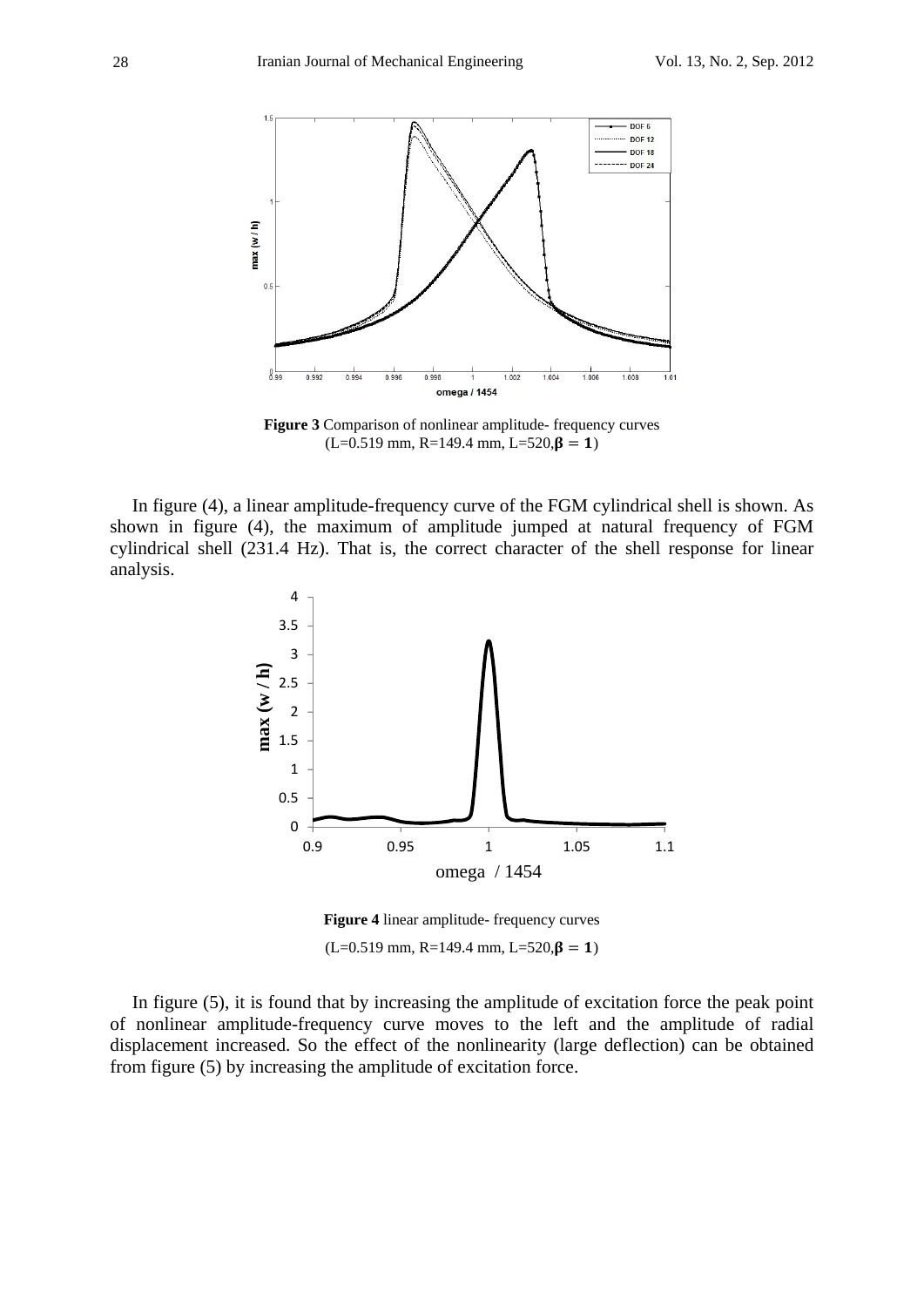

**Figure 3** Comparison of nonlinear amplitude- frequency curves  $(L=0.519$  mm, R=149.4 mm, L=520, $\beta = 1$ )

In figure (4), a linear amplitude-frequency curve of the FGM cylindrical shell is shown. As shown in figure (4), the maximum of amplitude jumped at natural frequency of FGM cylindrical shell (231.4 Hz). That is, the correct character of the shell response for linear analysis.



**Figure 4** linear amplitude- frequency curves  $(L=0.519$  mm, R=149.4 mm, L=520, $\beta = 1$ )

In figure (5), it is found that by increasing the amplitude of excitation force the peak point of nonlinear amplitude-frequency curve moves to the left and the amplitude of radial displacement increased. So the effect of the nonlinearity (large deflection) can be obtained from figure (5) by increasing the amplitude of excitation force.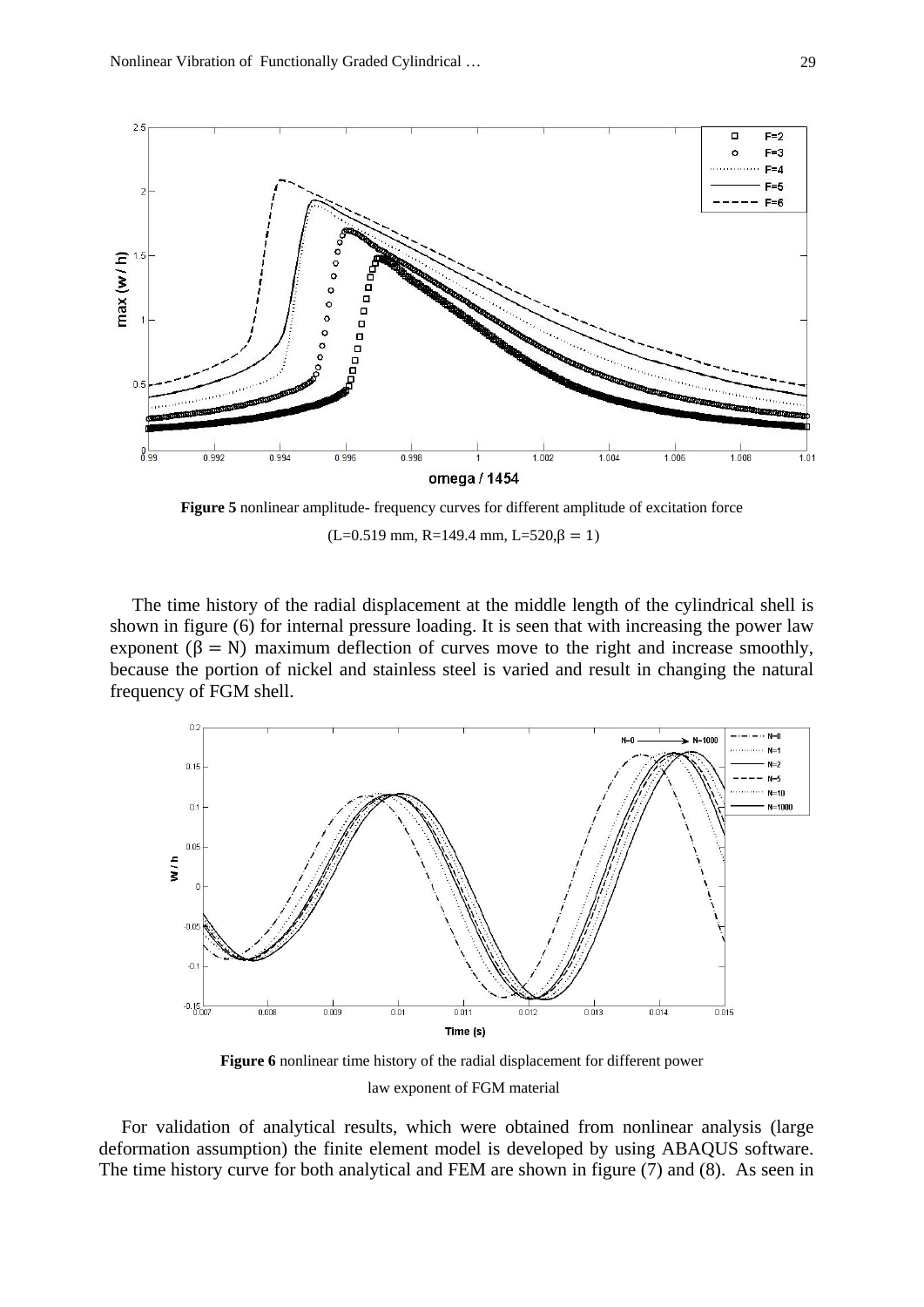

**Figure 5** nonlinear amplitude- frequency curves for different amplitude of excitation force  $(L=0.519$  mm, R=149.4 mm, L=520, $\beta = 1$ )

The time history of the radial displacement at the middle length of the cylindrical shell is shown in figure (6) for internal pressure loading. It is seen that with increasing the power law exponent  $(β = N)$  maximum deflection of curves move to the right and increase smoothly, because the portion of nickel and stainless steel is varied and result in changing the natural frequency of FGM shell.



**Figure 6** nonlinear time history of the radial displacement for different power law exponent of FGM material

For validation of analytical results, which were obtained from nonlinear analysis (large deformation assumption) the finite element model is developed by using ABAQUS software. The time history curve for both analytical and FEM are shown in figure (7) and (8). As seen in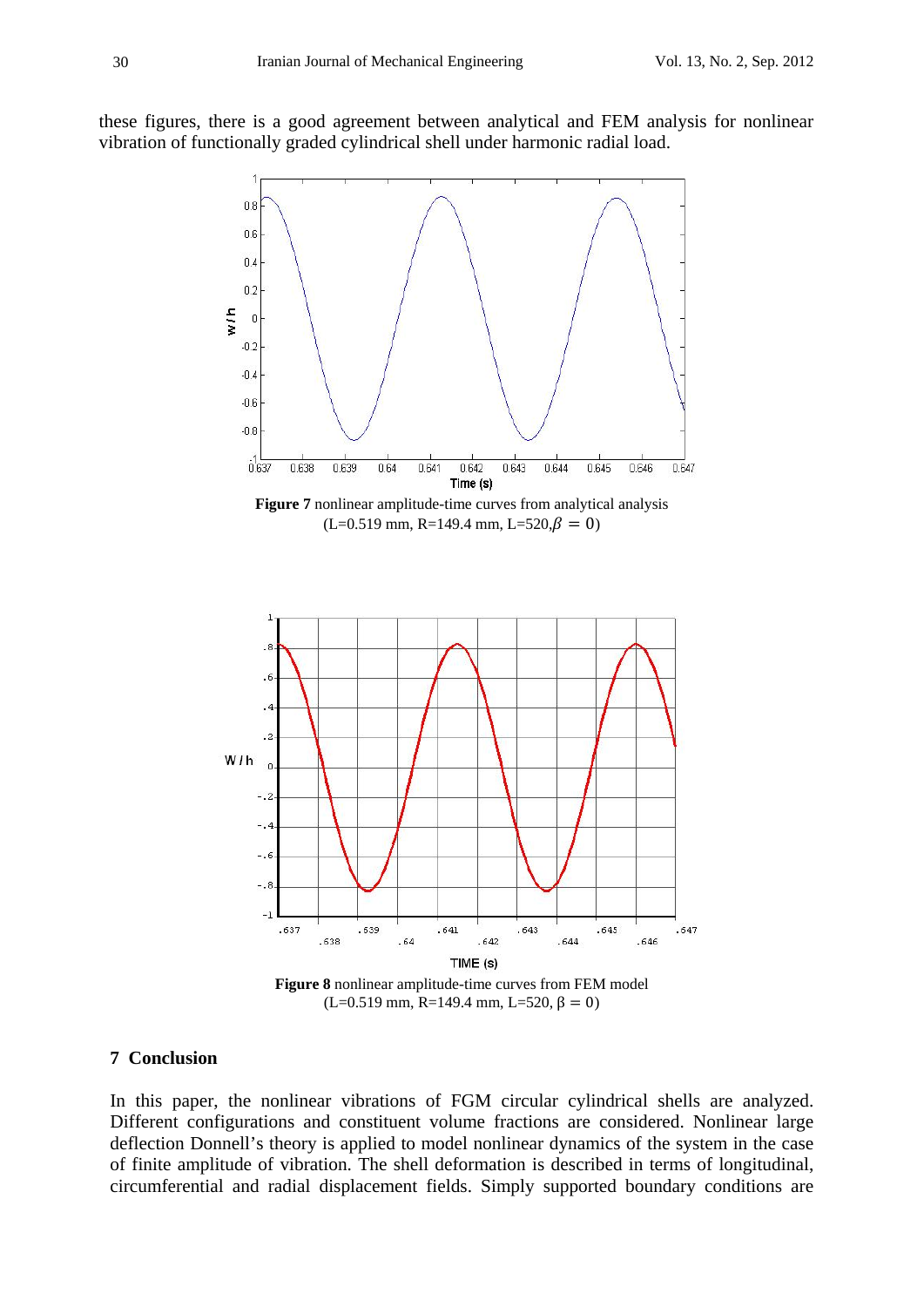these figures, there is a good agreement between analytical and FEM analysis for nonlinear vibration of functionally graded cylindrical shell under harmonic radial load.



#### **7 Conclusion**

In this paper, the nonlinear vibrations of FGM circular cylindrical shells are analyzed. Different configurations and constituent volume fractions are considered. Nonlinear large deflection Donnell's theory is applied to model nonlinear dynamics of the system in the case of finite amplitude of vibration. The shell deformation is described in terms of longitudinal, circumferential and radial displacement fields. Simply supported boundary conditions are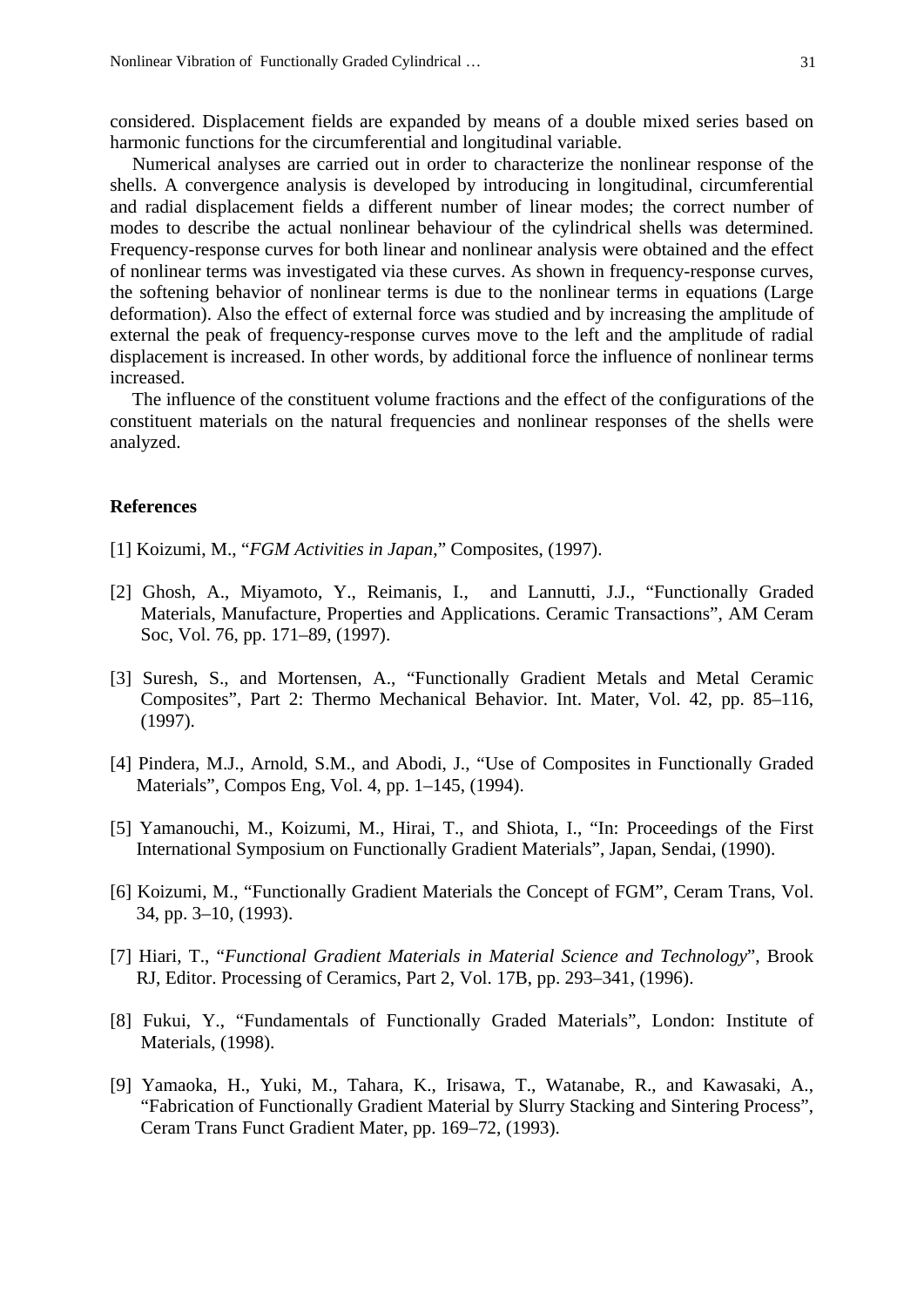considered. Displacement fields are expanded by means of a double mixed series based on harmonic functions for the circumferential and longitudinal variable.

Numerical analyses are carried out in order to characterize the nonlinear response of the shells. A convergence analysis is developed by introducing in longitudinal, circumferential and radial displacement fields a different number of linear modes; the correct number of modes to describe the actual nonlinear behaviour of the cylindrical shells was determined. Frequency-response curves for both linear and nonlinear analysis were obtained and the effect of nonlinear terms was investigated via these curves. As shown in frequency-response curves, the softening behavior of nonlinear terms is due to the nonlinear terms in equations (Large deformation). Also the effect of external force was studied and by increasing the amplitude of external the peak of frequency-response curves move to the left and the amplitude of radial displacement is increased. In other words, by additional force the influence of nonlinear terms increased.

The influence of the constituent volume fractions and the effect of the configurations of the constituent materials on the natural frequencies and nonlinear responses of the shells were analyzed.

### **References**

- [1] Koizumi, M., "*FGM Activities in Japan*," Composites, (1997).
- [2] Ghosh, A., Miyamoto, Y., Reimanis, I., and Lannutti, J.J., "Functionally Graded Materials, Manufacture, Properties and Applications. Ceramic Transactions", AM Ceram Soc, Vol. 76, pp. 171–89, (1997).
- [3] Suresh, S., and Mortensen, A., "Functionally Gradient Metals and Metal Ceramic Composites", Part 2: Thermo Mechanical Behavior. Int. Mater, Vol. 42, pp. 85–116, (1997).
- [4] Pindera, M.J., Arnold, S.M., and Abodi, J., "Use of Composites in Functionally Graded Materials", Compos Eng, Vol. 4, pp. 1–145, (1994).
- [5] Yamanouchi, M., Koizumi, M., Hirai, T., and Shiota, I., "In: Proceedings of the First International Symposium on Functionally Gradient Materials", Japan, Sendai, (1990).
- [6] Koizumi, M., "Functionally Gradient Materials the Concept of FGM", Ceram Trans, Vol. 34, pp. 3–10, (1993).
- [7] Hiari, T., "*Functional Gradient Materials in Material Science and Technology*", Brook RJ, Editor. Processing of Ceramics, Part 2, Vol. 17B, pp. 293–341, (1996).
- [8] Fukui, Y., "Fundamentals of Functionally Graded Materials", London: Institute of Materials, (1998).
- [9] Yamaoka, H., Yuki, M., Tahara, K., Irisawa, T., Watanabe, R., and Kawasaki, A., "Fabrication of Functionally Gradient Material by Slurry Stacking and Sintering Process", Ceram Trans Funct Gradient Mater, pp. 169–72, (1993).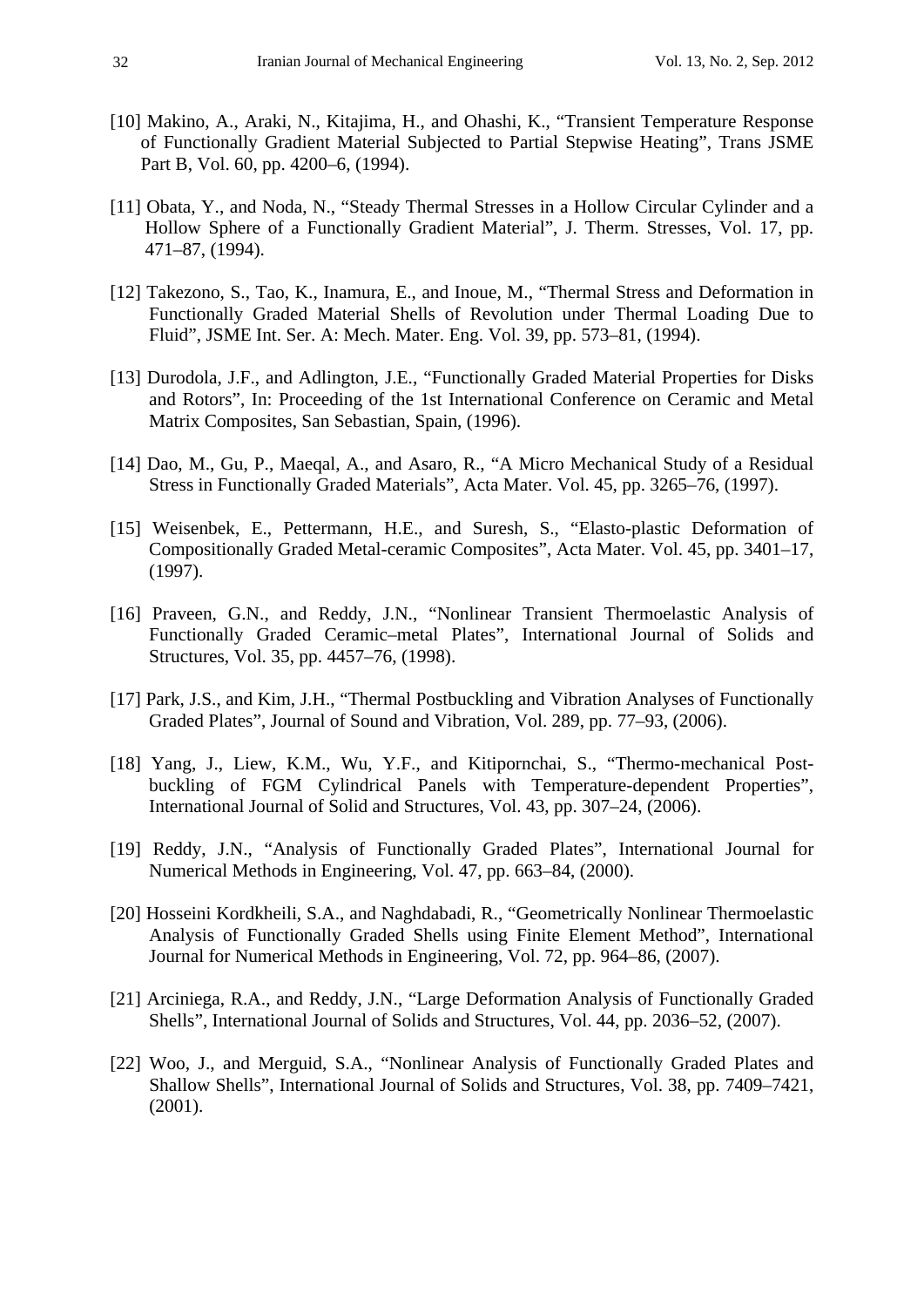- [10] Makino, A., Araki, N., Kitajima, H., and Ohashi, K., "Transient Temperature Response of Functionally Gradient Material Subjected to Partial Stepwise Heating", Trans JSME Part B, Vol. 60, pp. 4200–6, (1994).
- [11] Obata, Y., and Noda, N., "Steady Thermal Stresses in a Hollow Circular Cylinder and a Hollow Sphere of a Functionally Gradient Material", J. Therm. Stresses, Vol. 17, pp. 471–87, (1994).
- [12] Takezono, S., Tao, K., Inamura, E., and Inoue, M., "Thermal Stress and Deformation in Functionally Graded Material Shells of Revolution under Thermal Loading Due to Fluid", JSME Int. Ser. A: Mech. Mater. Eng. Vol. 39, pp. 573–81, (1994).
- [13] Durodola, J.F., and Adlington, J.E., "Functionally Graded Material Properties for Disks and Rotors", In: Proceeding of the 1st International Conference on Ceramic and Metal Matrix Composites, San Sebastian, Spain, (1996).
- [14] Dao, M., Gu, P., Maeqal, A., and Asaro, R., "A Micro Mechanical Study of a Residual Stress in Functionally Graded Materials", Acta Mater. Vol. 45, pp. 3265–76, (1997).
- [15] Weisenbek, E., Pettermann, H.E., and Suresh, S., "Elasto-plastic Deformation of Compositionally Graded Metal-ceramic Composites", Acta Mater. Vol. 45, pp. 3401–17, (1997).
- [16] Praveen, G.N., and Reddy, J.N., "Nonlinear Transient Thermoelastic Analysis of Functionally Graded Ceramic–metal Plates", International Journal of Solids and Structures, Vol. 35, pp. 4457–76, (1998).
- [17] Park, J.S., and Kim, J.H., "Thermal Postbuckling and Vibration Analyses of Functionally Graded Plates", Journal of Sound and Vibration, Vol. 289, pp. 77–93, (2006).
- [18] Yang, J., Liew, K.M., Wu, Y.F., and Kitipornchai, S., "Thermo-mechanical Postbuckling of FGM Cylindrical Panels with Temperature-dependent Properties", International Journal of Solid and Structures, Vol. 43, pp. 307–24, (2006).
- [19] Reddy, J.N., "Analysis of Functionally Graded Plates", International Journal for Numerical Methods in Engineering, Vol. 47, pp. 663–84, (2000).
- [20] Hosseini Kordkheili, S.A., and Naghdabadi, R., "Geometrically Nonlinear Thermoelastic Analysis of Functionally Graded Shells using Finite Element Method", International Journal for Numerical Methods in Engineering, Vol. 72, pp. 964–86, (2007).
- [21] Arciniega, R.A., and Reddy, J.N., "Large Deformation Analysis of Functionally Graded Shells", International Journal of Solids and Structures, Vol. 44, pp. 2036–52, (2007).
- [22] Woo, J., and Merguid, S.A., "Nonlinear Analysis of Functionally Graded Plates and Shallow Shells", International Journal of Solids and Structures, Vol. 38, pp. 7409–7421, (2001).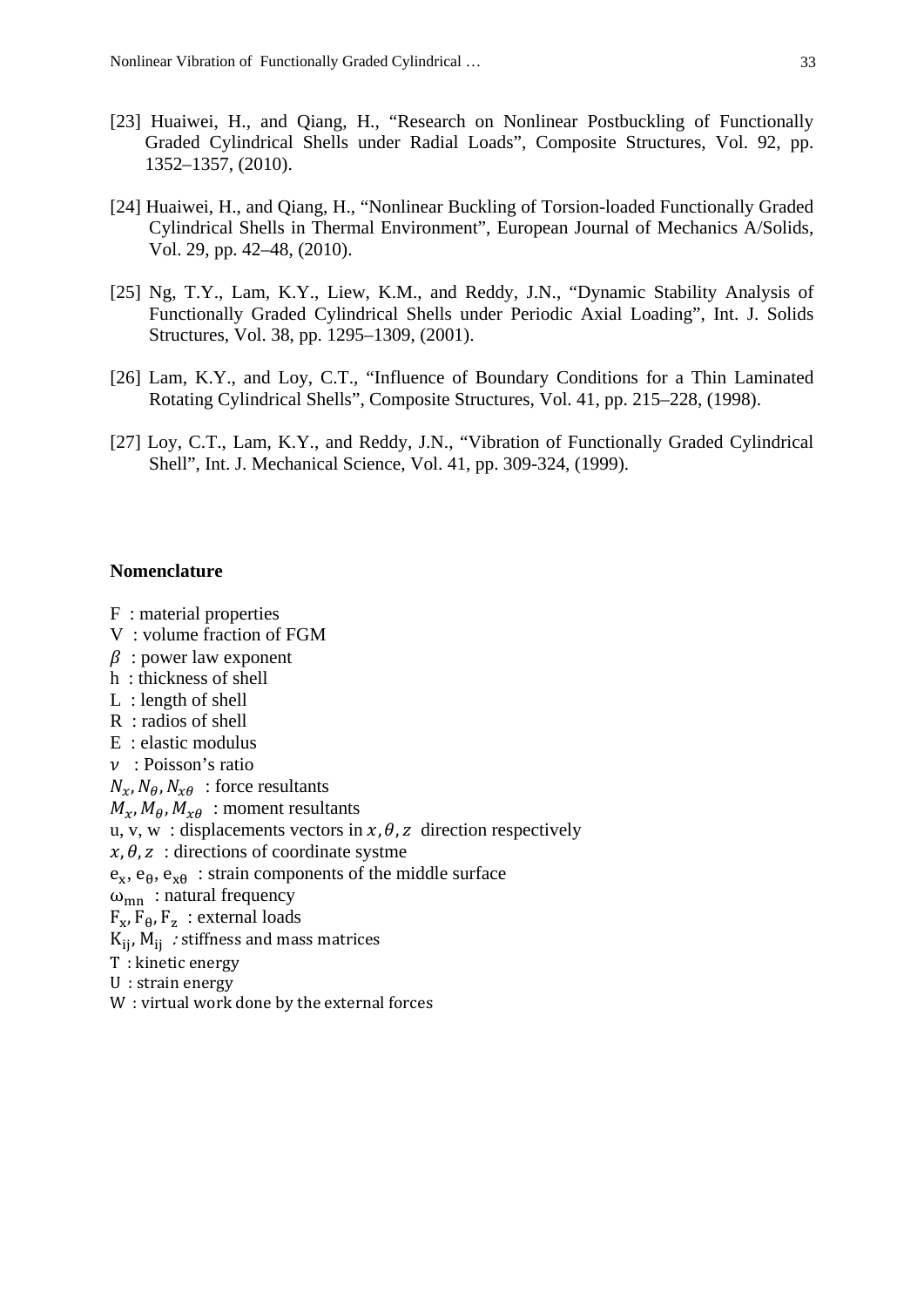- [23] Huaiwei, H., and Qiang, H., "Research on Nonlinear Postbuckling of Functionally Graded Cylindrical Shells under Radial Loads", Composite Structures, Vol. 92, pp. 1352–1357, (2010).
- [24] Huaiwei, H., and Qiang, H., "Nonlinear Buckling of Torsion-loaded Functionally Graded Cylindrical Shells in Thermal Environment", European Journal of Mechanics A/Solids, Vol. 29, pp. 42–48, (2010).
- [25] Ng, T.Y., Lam, K.Y., Liew, K.M., and Reddy, J.N., "Dynamic Stability Analysis of Functionally Graded Cylindrical Shells under Periodic Axial Loading", Int. J. Solids Structures, Vol. 38, pp. 1295–1309, (2001).
- [26] Lam, K.Y., and Loy, C.T., "Influence of Boundary Conditions for a Thin Laminated Rotating Cylindrical Shells", Composite Structures, Vol. 41, pp. 215–228, (1998).
- [27] Loy, C.T., Lam, K.Y., and Reddy, J.N., "Vibration of Functionally Graded Cylindrical Shell", Int. J. Mechanical Science, Vol. 41, pp. 309-324, (1999).

#### **Nomenclature**

- F : material properties
- V : volume fraction of FGM
- $\beta$ : power law exponent
- h : thickness of shell
- L : length of shell
- R : radios of shell
- E : elastic modulus
- $\nu$ : Poisson's ratio
- $N_x$ ,  $N_\theta$ ,  $N_{x\theta}$ : force resultants
- $M_{\gamma}$ ,  $M_{\theta}$ ,  $M_{\gamma\theta}$ : moment resultants
- u, v, w: displacements vectors in  $x, \theta, z$  direction respectively
- $x, \theta, z$ : directions of coordinate systme
- $e_x$ ,  $e_\theta$ ,  $e_{x\theta}$ : strain components of the middle surface
- $\omega_{mn}$ : natural frequency
- $F_x$ ,  $F_\theta$ ,  $F_z$ : external loads
- $K_{ij}$ ,  $M_{ij}$  : stiffness and mass matrices
- T : kinetic energy
- U : strain energy
- W : virtual work done by the external forces